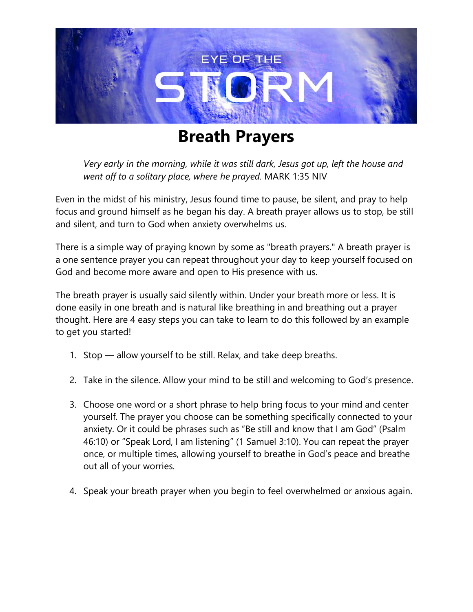

## **Breath Prayers**

*Very early in the morning, while it was still dark, Jesus got up, left the house and went off to a solitary place, where he prayed.* MARK 1:35 NIV

Even in the midst of his ministry, Jesus found time to pause, be silent, and pray to help focus and ground himself as he began his day. A breath prayer allows us to stop, be still and silent, and turn to God when anxiety overwhelms us.

There is a simple way of praying known by some as "breath prayers." A breath prayer is a one sentence prayer you can repeat throughout your day to keep yourself focused on God and become more aware and open to His presence with us.

The breath prayer is usually said silently within. Under your breath more or less. It is done easily in one breath and is natural like breathing in and breathing out a prayer thought. Here are 4 easy steps you can take to learn to do this followed by an example to get you started!

- 1. Stop allow yourself to be still. Relax, and take deep breaths.
- 2. Take in the silence. Allow your mind to be still and welcoming to God's presence.
- 3. Choose one word or a short phrase to help bring focus to your mind and center yourself. The prayer you choose can be something specifically connected to your anxiety. Or it could be phrases such as "Be still and know that I am God" (Psalm 46:10) or "Speak Lord, I am listening" (1 Samuel 3:10). You can repeat the prayer once, or multiple times, allowing yourself to breathe in God's peace and breathe out all of your worries.
- 4. Speak your breath prayer when you begin to feel overwhelmed or anxious again.